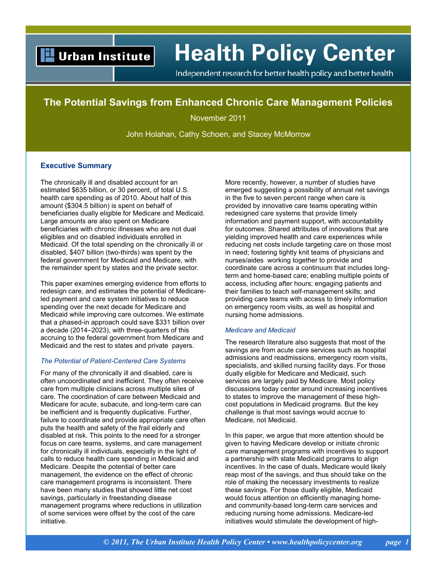## **Urban Institute**

# **Health Policy Center**

Independent research for better health policy and better health

### **The Potential Savings from Enhanced Chronic Care Management Policies**

November 2011

John Holahan, Cathy Schoen, and Stacey McMorrow

#### **Executive Summary**

The chronically ill and disabled account for an estimated \$635 billion, or 30 percent, of total U.S. health care spending as of 2010. About half of this amount (\$304.5 billion) is spent on behalf of beneficiaries dually eligible for Medicare and Medicaid. Large amounts are also spent on Medicare beneficiaries with chronic illnesses who are not dual eligibles and on disabled individuals enrolled in Medicaid. Of the total spending on the chronically ill or disabled, \$407 billion (two-thirds) was spent by the federal government for Medicaid and Medicare, with the remainder spent by states and the private sector.

This paper examines emerging evidence from efforts to redesign care, and estimates the potential of Medicareled payment and care system initiatives to reduce spending over the next decade for Medicare and Medicaid while improving care outcomes. We estimate that a phased-in approach could save \$331 billion over a decade (2014–2023), with three-quarters of this accruing to the federal government from Medicare and Medicaid and the rest to states and private payers.

#### *The Potential of Patient-Centered Care Systems*

For many of the chronically ill and disabled, care is often uncoordinated and inefficient. They often receive care from multiple clinicians across multiple sites of care. The coordination of care between Medicaid and Medicare for acute, subacute, and long-term care can be inefficient and is frequently duplicative. Further, failure to coordinate and provide appropriate care often puts the health and safety of the frail elderly and disabled at risk. This points to the need for a stronger focus on care teams, systems, and care management for chronically ill individuals, especially in the light of calls to reduce health care spending in Medicaid and Medicare. Despite the potential of better care management, the evidence on the effect of chronic care management programs is inconsistent. There have been many studies that showed little net cost savings, particularly in freestanding disease management programs where reductions in utilization of some services were offset by the cost of the care initiative.

More recently, however, a number of studies have emerged suggesting a possibility of annual net savings in the five to seven percent range when care is provided by innovative care teams operating within redesigned care systems that provide timely information and payment support, with accountability for outcomes. Shared attributes of innovations that are yielding improved health and care experiences while reducing net costs include targeting care on those most in need; fostering tightly knit teams of physicians and nurses/aides working together to provide and coordinate care across a continuum that includes longterm and home-based care; enabling multiple points of access, including after hours; engaging patients and their families to teach self-management skills; and providing care teams with access to timely information on emergency room visits, as well as hospital and nursing home admissions.

#### *Medicare and Medicaid*

The research literature also suggests that most of the savings are from acute care services such as hospital admissions and readmissions, emergency room visits, specialists, and skilled nursing facility days. For those dually eligible for Medicare and Medicaid, such services are largely paid by Medicare. Most policy discussions today center around increasing incentives to states to improve the management of these highcost populations in Medicaid programs. But the key challenge is that most savings would accrue to Medicare, not Medicaid.

In this paper, we argue that more attention should be given to having Medicare develop or initiate chronic care management programs with incentives to support a partnership with state Medicaid programs to align incentives. In the case of duals, Medicare would likely reap most of the savings, and thus should take on the role of making the necessary investments to realize these savings. For those dually eligible, Medicaid would focus attention on efficiently managing homeand community-based long-term care services and reducing nursing home admissions. Medicare-led initiatives would stimulate the development of high